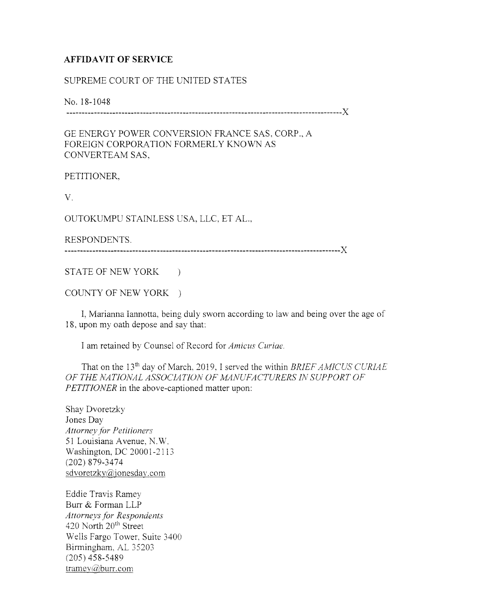## **AFFIDAVIT OF SERVICE**

## SUPREME COURT OF THE UNITED STATES

No. 18-1048

------------------------------------------------------------------------------------------)(

GE ENERGY POWER CONVERSION FRANCE SAS. CORP., A FOREIGN CORPORATION FORMERLY KNOWN AS CONVERTEAM SAS.

PETITIONER,

V.

OUTOKUMPU STAINLESS USA, LLC, ET AL..

RESPONDENTS.

------------------------------------------------------------------------------------------)(

STATE OF NEW YORK )

COUNTY OF NEW YORK )

I, Marianna lannotta, being duly sworn according to law and being over the age of 18, upon my oath depose and say that:

I am retained by Counsel of Record for *Amicus Curiae.* 

That on the 13<sup>th</sup> day of March, 2019, I served the within *BRIEF AMICUS CURIAE OF THE NATIONAL ASSOCIATION OF MANUFACTURERS IN SUPPORT OF PETITIONER* in the above-captioned matter upon:

Shay Dvoretzky Jones Day *Attorneyfor Petitioners*  51 Louisiana Avenue, N.W. Washington, DC 20001-2113 (202) 879-3474  $sdvoretzky@jonesday.com$ 

Eddie Travis Ramey Burr & Forman LLP *Attorneys.for Re5pondents*  420 North 20<sup>th</sup> Street Wells Fargo Tower. Suite 3400 Birmingham, AL 35203 (205) 458-5489 tramey@burr.com